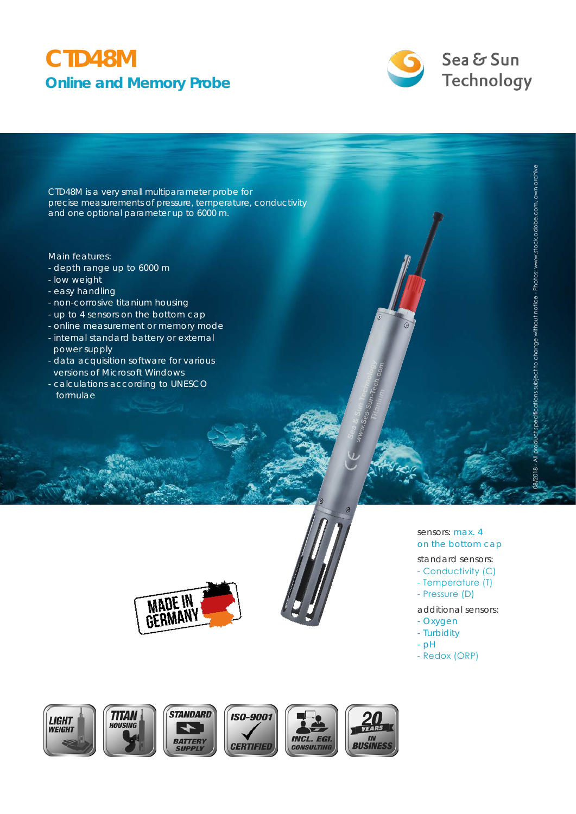## **CTD48M Online and Memory Probe**



CTD48M is a very small multiparameter probe for precise measurements of pressure, temperature, conductivity and one optional parameter up to 6000 m.

#### Main features:

- depth range up to 6000 m
- low weight
- easy handling
- non-corrosive titanium housing
- up to 4 sensors on the bottom cap
- online measurement or memory mode
- internal standard battery or external power supply
- data acquisition software for various versions of Microsoft Windows
- calculations according to UNESCO formulae



sensors: max. 4 on the bottom cap standard sensors:

08/2018 - All product specifications subject to change without notice - Photos: www.stock.adobe.com, own archive

specifications subject to change without notice - Photos: www.stock.adobe.com, own archive

- Conductivity (С)
- Temperature (T)
- Pressure (D)
- additional sensors:
- Oxygen
- Turbidity
- pH
- Redox (ORP)

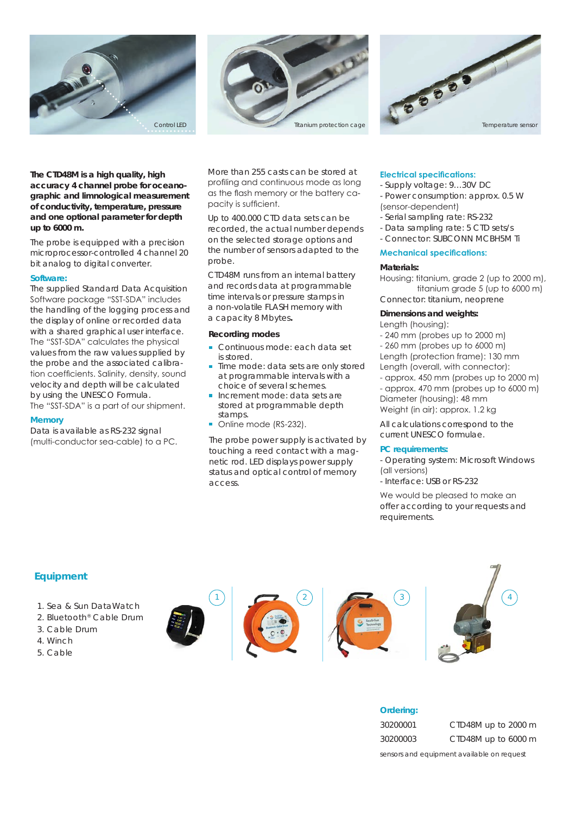





#### **The CTD48M is a high quality, high accuracy 4 channel probe for oceanographic and limnological measurement of conductivity, temperature, pressure and one optional parameter for depth up to 6000 m.**

The probe is equipped with a precision microprocessor-controlled 4 channel 20 bit analog to digital converter.

#### **Software:**

The supplied Standard Data Acquisition Software package "SST-SDA" includes the handling of the logging process and the display of online or recorded data with a shared graphical user interface. The "SST-SDA" calculates the physical values from the raw values supplied by the probe and the associated calibration coefficients. Salinity, density, sound velocity and depth will be calculated by using the UNESCO Formula. The "SST-SDA" is a part of our shipment.

**Memory**

Data is available as RS-232 signal (multi-conductor sea-cable) to a PC. More than 255 casts can be stored at profiling and continuous mode as long as the flash memory or the battery capacity is sufficient.

Up to 400.000 CTD data sets can be recorded, the actual number depends on the selected storage options and the number of sensors adapted to the probe.

CTD48M runs from an internal battery and records data at programmable time intervals or pressure stamps in a non-volatile FLASH memory with a capacity 8 Mbytes**.**

#### **Recording modes**

- Continuous mode: each data set is stored.
- Time mode: data sets are only stored at programmable intervals with a choice of several schemes.
- Increment mode: data sets are stored at programmable depth stamps.
- Online mode (RS-232).

The probe power supply is activated by touching a reed contact with a magnetic rod. LED displays power supply status and optical control of memory access.

#### **Electrical specifications:**

- Supply voltage: 9…30V DC
- Power consumption: approx. 0.5 W (sensor-dependent)
- Serial sampling rate: RS-232
- Data sampling rate: 5 CTD sets/s
- Connector: SUBCONN MCBH5M Ti

#### **Mechanical specifications:**

#### **Materials:**

Housing: titanium, grade 2 (up to 2000 m), titanium grade 5 (up to 6000 m) Connector: titanium, neoprene

#### **Dimensions and weights:**

Length (housing):

- 240 mm (probes up to 2000 m)
- 260 mm (probes up to 6000 m)
- Length (protection frame): 130 mm Length (overall, with connector):
- approx. 450 mm (probes up to 2000 m) - approx. 470 mm (probes up to 6000 m)
- Diameter (housing): 48 mm

Weight (in air): approx. 1.2 kg

All calculations correspond to the current UNESCO formulae.

#### **PC requirements:**

- Operating system: Microsoft Windows (all versions)
- Interface: USB or RS-232

We would be pleased to make an offer according to your requests and requirements.

### **Equipment**

- 1. Sea & Sun DataWatch
- 2. Bluetooth® Cable Drum
- 3. Cable Drum
- 4. Winch
- 5. Cable









**Ordering:**

30200001 CTD48M up to 2000 m 30200003 CTD48M up to 6000 m

*sensors and equipment available on request*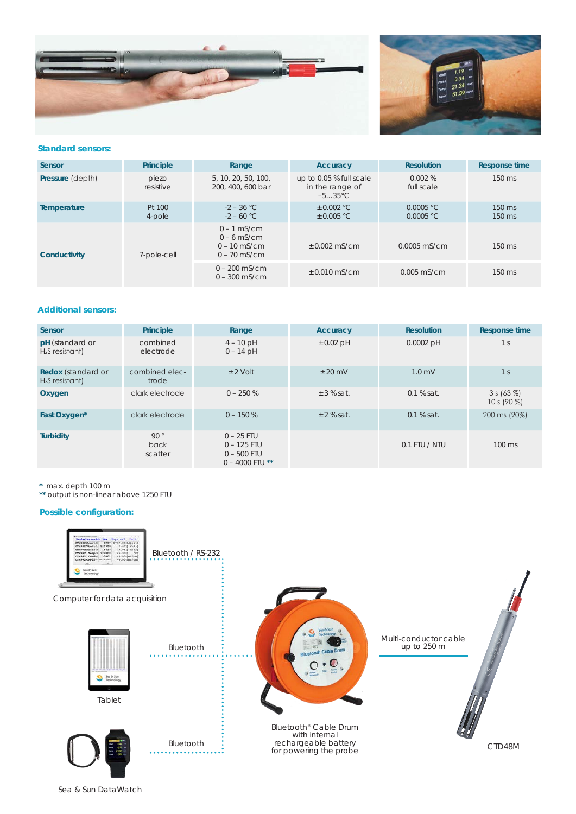



#### **Standard sensors:**

| Sensor                  | Principle          | Range                                                              | Accuracy                                                       | <b>Resolution</b>      | <b>Response time</b> |
|-------------------------|--------------------|--------------------------------------------------------------------|----------------------------------------------------------------|------------------------|----------------------|
| <b>Pressure (depth)</b> | piezo<br>resistive | 5, 10, 20, 50, 100,<br>200, 400, 600 bar                           | up to 0.05 % full scale<br>in the range of<br>$-535^{\circ}$ C | 0.002%<br>full scale   | $150 \text{ ms}$     |
| Temperature             | Pt 100<br>4-pole   | $-2 - 36$ °C<br>$-2 - 60$ °C                                       | $\pm$ 0.002 °C<br>$\pm$ 0.005 °C                               | 0.0005 °C<br>0.0005 °C | 150 ms<br>150 ms     |
| Conductivity            | 7-pole-cell        | $0 - 1$ mS/cm<br>$0 - 6$ mS/cm<br>$0 - 10$ mS/cm<br>$0 - 70$ mS/cm | $+0.002$ mS/cm                                                 | $0.0005$ mS/cm         | 150 ms               |
|                         |                    | $0 - 200$ mS/cm<br>$0 - 300$ mS/cm                                 | $+0.010$ mS/cm                                                 | $0.005$ mS/cm          | $150 \text{ ms}$     |

#### **Additional sensors:**

| <b>Sensor</b>                                 | Principle               | Range                                                               | Accuracy       | <b>Resolution</b> | <b>Response time</b>             |
|-----------------------------------------------|-------------------------|---------------------------------------------------------------------|----------------|-------------------|----------------------------------|
| pH (standard or<br>$H2S$ resistant)           | combined<br>electrode   | $4 - 10$ pH<br>$0 - 14$ pH                                          | $\pm$ 0.02 pH  | $0.0002$ pH       | 1 <sup>s</sup>                   |
| <b>Redox</b> (standard or<br>$H2S$ resistant) | combined elec-<br>trode | $+2$ Volt                                                           | $+20$ mV       | $1.0$ mV          | 1 <sup>s</sup>                   |
| Oxygen                                        | clark electrode         | $0 - 250%$                                                          | $\pm$ 3 % sat. | $0.1%$ sat.       | $3 s (63 \%)$<br>10 s (90 $\%$ ) |
| Fast Oxygen*                                  | clark electrode         | $0 - 150%$                                                          | $+2%$ sat.     | $0.1$ % sat.      | 200 ms (90%)                     |
| <b>Turbidity</b>                              | 90°<br>back<br>scatter  | $0 - 25$ FTU<br>$0 - 125$ FTU<br>$0 - 500$ FTU<br>$0 - 4000$ FTU ** |                | $0.1$ FTU / NTU   | 100 ms                           |

**\*** max. depth 100 m

**\*\*** output is non-linear above 1250 FTU

#### **Possible configuration:**